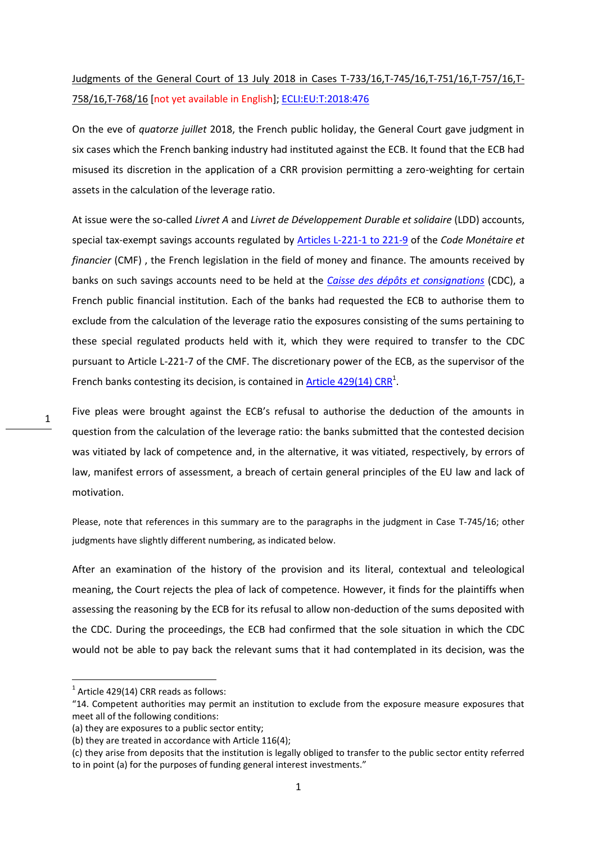## [Judgments of the General Court of 13 July 2018 in Cases T-733/16,T-745/16,T-751/16,T-757/16,T-](https://curia.europa.eu/jcms/jcms/p1_1198220/en/)[758/16,T-768/16](https://curia.europa.eu/jcms/jcms/p1_1198220/en/) [not yet available in English]; [ECLI:EU:T:2018:476](http://curia.europa.eu/juris/liste.jsf?num=T-745/16)

On the eve of *quatorze juillet* 2018, the French public holiday, the General Court gave judgment in six cases which the French banking industry had instituted against the ECB. It found that the ECB had misused its discretion in the application of a CRR provision permitting a zero-weighting for certain assets in the calculation of the leverage ratio.

At issue were the so-called *Livret A* and *Livret de Développement Durable et solidaire* (LDD) accounts, special tax-exempt savings accounts regulated by [Articles L-221-1 to 221-9](https://www.legifrance.gouv.fr/affichCode.do?idSectionTA=LEGISCTA000019300383&cidTexte=LEGITEXT000006072026) of the *Code Monétaire et financier* (CMF) , the French legislation in the field of money and finance. The amounts received by banks on such savings accounts need to be held at the *[Caisse des dépôts et consignations](https://www.caissedesdepots.fr/en)* (CDC), a French public financial institution. Each of the banks had requested the ECB to authorise them to exclude from the calculation of the leverage ratio the exposures consisting of the sums pertaining to these special regulated products held with it, which they were required to transfer to the CDC pursuant to Article L-221-7 of the CMF. The discretionary power of the ECB, as the supervisor of the French banks contesting its decision, is contained in  $\frac{\text{Article } 429(14) \text{ CRR}^1}{1}$ .

Five pleas were brought against the ECB's refusal to authorise the deduction of the amounts in question from the calculation of the leverage ratio: the banks submitted that the contested decision was vitiated by lack of competence and, in the alternative, it was vitiated, respectively, by errors of law, manifest errors of assessment, a breach of certain general principles of the EU law and lack of motivation.

Please, note that references in this summary are to the paragraphs in the judgment in Case T-745/16; other judgments have slightly different numbering, as indicated below.

After an examination of the history of the provision and its literal, contextual and teleological meaning, the Court rejects the plea of lack of competence. However, it finds for the plaintiffs when assessing the reasoning by the ECB for its refusal to allow non-deduction of the sums deposited with the CDC. During the proceedings, the ECB had confirmed that the sole situation in which the CDC would not be able to pay back the relevant sums that it had contemplated in its decision, was the

1

**.** 

 $<sup>1</sup>$  Article 429(14) CRR reads as follows:</sup>

<sup>&</sup>quot;14. Competent authorities may permit an institution to exclude from the exposure measure exposures that meet all of the following conditions:

<sup>(</sup>a) they are exposures to a public sector entity;

<sup>(</sup>b) they are treated in accordance with Article 116(4);

<sup>(</sup>c) they arise from deposits that the institution is legally obliged to transfer to the public sector entity referred to in point (a) for the purposes of funding general interest investments."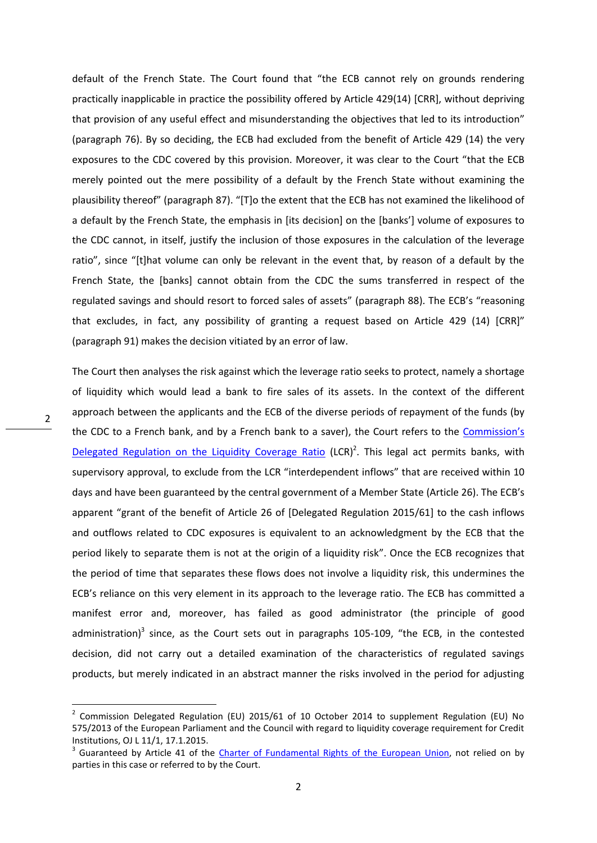default of the French State. The Court found that "the ECB cannot rely on grounds rendering practically inapplicable in practice the possibility offered by Article 429(14) [CRR], without depriving that provision of any useful effect and misunderstanding the objectives that led to its introduction" (paragraph 76). By so deciding, the ECB had excluded from the benefit of Article 429 (14) the very exposures to the CDC covered by this provision. Moreover, it was clear to the Court "that the ECB merely pointed out the mere possibility of a default by the French State without examining the plausibility thereof" (paragraph 87). "[T]o the extent that the ECB has not examined the likelihood of a default by the French State, the emphasis in [its decision] on the [banks'] volume of exposures to the CDC cannot, in itself, justify the inclusion of those exposures in the calculation of the leverage ratio", since "[t]hat volume can only be relevant in the event that, by reason of a default by the French State, the [banks] cannot obtain from the CDC the sums transferred in respect of the regulated savings and should resort to forced sales of assets" (paragraph 88). The ECB's "reasoning that excludes, in fact, any possibility of granting a request based on Article 429 (14) [CRR]" (paragraph 91) makes the decision vitiated by an error of law.

The Court then analyses the risk against which the leverage ratio seeks to protect, namely a shortage of liquidity which would lead a bank to fire sales of its assets. In the context of the different approach between the applicants and the ECB of the diverse periods of repayment of the funds (by the CDC to a French bank, and by a French bank to a saver), the Court refers to the [Commission's](https://eur-lex.europa.eu/legal-content/EN/TXT/PDF/?uri=CELEX:32015R0061&from=EN)  [Delegated Regulation on the Liquidity Coverage Ratio](https://eur-lex.europa.eu/legal-content/EN/TXT/PDF/?uri=CELEX:32015R0061&from=EN) (LCR)<sup>2</sup>. This legal act permits banks, with supervisory approval, to exclude from the LCR "interdependent inflows" that are received within 10 days and have been guaranteed by the central government of a Member State (Article 26). The ECB's apparent "grant of the benefit of Article 26 of [Delegated Regulation 2015/61] to the cash inflows and outflows related to CDC exposures is equivalent to an acknowledgment by the ECB that the period likely to separate them is not at the origin of a liquidity risk". Once the ECB recognizes that the period of time that separates these flows does not involve a liquidity risk, this undermines the ECB's reliance on this very element in its approach to the leverage ratio. The ECB has committed a manifest error and, moreover, has failed as good administrator (the principle of good administration)<sup>3</sup> since, as the Court sets out in paragraphs 105-109, "the ECB, in the contested decision, did not carry out a detailed examination of the characteristics of regulated savings products, but merely indicated in an abstract manner the risks involved in the period for adjusting

**.** 

<sup>&</sup>lt;sup>2</sup> Commission Delegated Regulation (EU) 2015/61 of 10 October 2014 to supplement Regulation (EU) No 575/2013 of the European Parliament and the Council with regard to liquidity coverage requirement for Credit Institutions, OJ L 11/1, 17.1.2015.

<sup>&</sup>lt;sup>3</sup> Guaranteed by Article 41 of the *Charter of Fundamental Rights of the European Union*, not relied on by parties in this case or referred to by the Court.